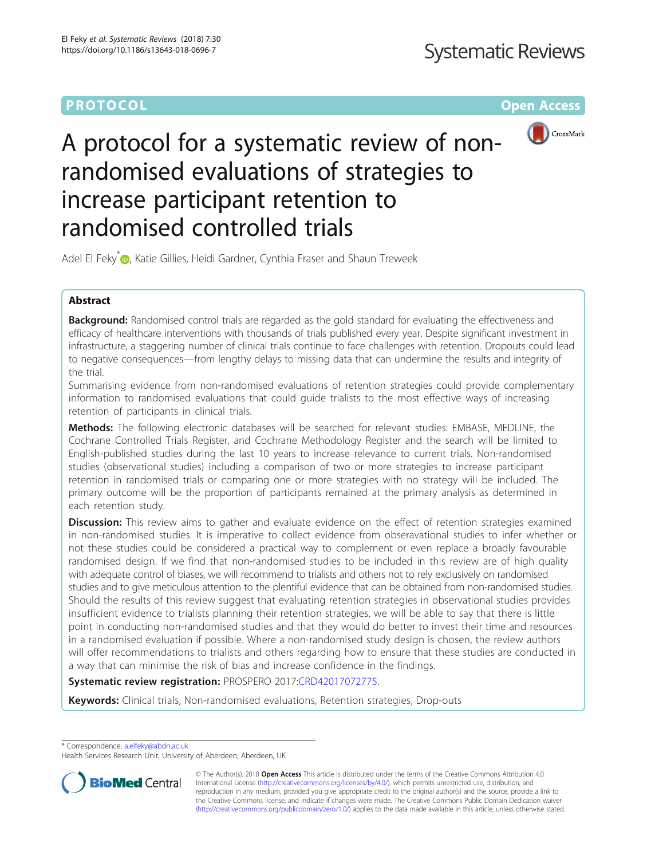# **PROTOCOL CONSUMING THE OPEN ACCESS**



# A protocol for a systematic review of nonrandomised evaluations of strategies to increase participant retention to randomised controlled trials

Adel El Feky<sup>\*</sup> <sub>(b</sub>, Katie Gillies, Heidi Gardner, Cynthia Fraser and Shaun Treweek

# Abstract

**Background:** Randomised control trials are regarded as the gold standard for evaluating the effectiveness and efficacy of healthcare interventions with thousands of trials published every year. Despite significant investment in infrastructure, a staggering number of clinical trials continue to face challenges with retention. Dropouts could lead to negative consequences—from lengthy delays to missing data that can undermine the results and integrity of the trial.

Summarising evidence from non-randomised evaluations of retention strategies could provide complementary information to randomised evaluations that could guide trialists to the most effective ways of increasing retention of participants in clinical trials.

Methods: The following electronic databases will be searched for relevant studies: EMBASE, MEDLINE, the Cochrane Controlled Trials Register, and Cochrane Methodology Register and the search will be limited to English-published studies during the last 10 years to increase relevance to current trials. Non-randomised studies (observational studies) including a comparison of two or more strategies to increase participant retention in randomised trials or comparing one or more strategies with no strategy will be included. The primary outcome will be the proportion of participants remained at the primary analysis as determined in each retention study.

**Discussion:** This review aims to gather and evaluate evidence on the effect of retention strategies examined in non-randomised studies. It is imperative to collect evidence from obseravational studies to infer whether or not these studies could be considered a practical way to complement or even replace a broadly favourable randomised design. If we find that non-randomised studies to be included in this review are of high quality with adequate control of biases, we will recommend to trialists and others not to rely exclusively on randomised studies and to give meticulous attention to the plentiful evidence that can be obtained from non-randomised studies. Should the results of this review suggest that evaluating retention strategies in observational studies provides insufficient evidence to trialists planning their retention strategies, we will be able to say that there is little point in conducting non-randomised studies and that they would do better to invest their time and resources in a randomised evaluation if possible. Where a non-randomised study design is chosen, the review authors will offer recommendations to trialists and others regarding how to ensure that these studies are conducted in a way that can minimise the risk of bias and increase confidence in the findings.

Systematic review registration: PROSPERO 2017:[CRD42017072775.](http://www.crd.york.ac.uk/PROSPERO/display_record.php?ID=CRD42017072775)

**Keywords:** Clinical trials, Non-randomised evaluations, Retention strategies, Drop-outs

\* Correspondence: [a.elfeky@abdn.ac.uk](mailto:a.elfeky@abdn.ac.uk)

Health Services Research Unit, University of Aberdeen, Aberdeen, UK



© The Author(s). 2018 Open Access This article is distributed under the terms of the Creative Commons Attribution 4.0 International License [\(http://creativecommons.org/licenses/by/4.0/](http://creativecommons.org/licenses/by/4.0/)), which permits unrestricted use, distribution, and reproduction in any medium, provided you give appropriate credit to the original author(s) and the source, provide a link to the Creative Commons license, and indicate if changes were made. The Creative Commons Public Domain Dedication waiver [\(http://creativecommons.org/publicdomain/zero/1.0/](http://creativecommons.org/publicdomain/zero/1.0/)) applies to the data made available in this article, unless otherwise stated.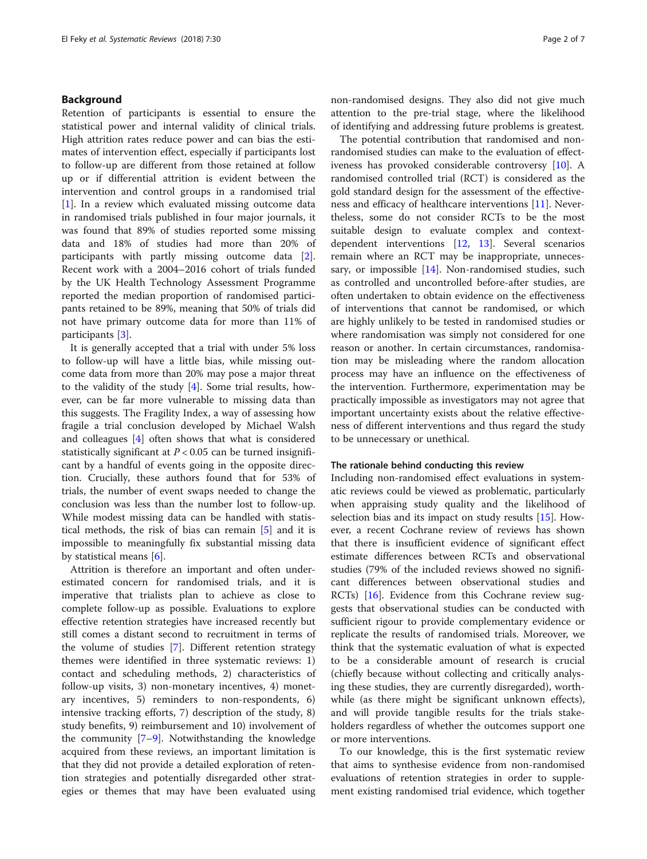## Background

Retention of participants is essential to ensure the statistical power and internal validity of clinical trials. High attrition rates reduce power and can bias the estimates of intervention effect, especially if participants lost to follow-up are different from those retained at follow up or if differential attrition is evident between the intervention and control groups in a randomised trial [[1\]](#page-5-0). In a review which evaluated missing outcome data in randomised trials published in four major journals, it was found that 89% of studies reported some missing data and 18% of studies had more than 20% of participants with partly missing outcome data [\[2](#page-5-0)]. Recent work with a 2004–2016 cohort of trials funded by the UK Health Technology Assessment Programme reported the median proportion of randomised participants retained to be 89%, meaning that 50% of trials did not have primary outcome data for more than 11% of participants [[3\]](#page-5-0).

It is generally accepted that a trial with under 5% loss to follow-up will have a little bias, while missing outcome data from more than 20% may pose a major threat to the validity of the study [\[4\]](#page-5-0). Some trial results, however, can be far more vulnerable to missing data than this suggests. The Fragility Index, a way of assessing how fragile a trial conclusion developed by Michael Walsh and colleagues [[4\]](#page-5-0) often shows that what is considered statistically significant at  $P < 0.05$  can be turned insignificant by a handful of events going in the opposite direction. Crucially, these authors found that for 53% of trials, the number of event swaps needed to change the conclusion was less than the number lost to follow-up. While modest missing data can be handled with statistical methods, the risk of bias can remain [[5\]](#page-5-0) and it is impossible to meaningfully fix substantial missing data by statistical means [\[6](#page-5-0)].

Attrition is therefore an important and often underestimated concern for randomised trials, and it is imperative that trialists plan to achieve as close to complete follow-up as possible. Evaluations to explore effective retention strategies have increased recently but still comes a distant second to recruitment in terms of the volume of studies [\[7](#page-5-0)]. Different retention strategy themes were identified in three systematic reviews: 1) contact and scheduling methods, 2) characteristics of follow-up visits, 3) non-monetary incentives, 4) monetary incentives, 5) reminders to non-respondents, 6) intensive tracking efforts, 7) description of the study, 8) study benefits, 9) reimbursement and 10) involvement of the community [[7](#page-5-0)–[9](#page-6-0)]. Notwithstanding the knowledge acquired from these reviews, an important limitation is that they did not provide a detailed exploration of retention strategies and potentially disregarded other strategies or themes that may have been evaluated using

non-randomised designs. They also did not give much attention to the pre-trial stage, where the likelihood of identifying and addressing future problems is greatest.

The potential contribution that randomised and nonrandomised studies can make to the evaluation of effectiveness has provoked considerable controversy [[10](#page-6-0)]. A randomised controlled trial (RCT) is considered as the gold standard design for the assessment of the effectiveness and efficacy of healthcare interventions [[11](#page-6-0)]. Nevertheless, some do not consider RCTs to be the most suitable design to evaluate complex and contextdependent interventions [[12,](#page-6-0) [13\]](#page-6-0). Several scenarios remain where an RCT may be inappropriate, unneces-sary, or impossible [\[14](#page-6-0)]. Non-randomised studies, such as controlled and uncontrolled before-after studies, are often undertaken to obtain evidence on the effectiveness of interventions that cannot be randomised, or which are highly unlikely to be tested in randomised studies or where randomisation was simply not considered for one reason or another. In certain circumstances, randomisation may be misleading where the random allocation process may have an influence on the effectiveness of the intervention. Furthermore, experimentation may be practically impossible as investigators may not agree that important uncertainty exists about the relative effectiveness of different interventions and thus regard the study to be unnecessary or unethical.

### The rationale behind conducting this review

Including non-randomised effect evaluations in systematic reviews could be viewed as problematic, particularly when appraising study quality and the likelihood of selection bias and its impact on study results [\[15\]](#page-6-0). However, a recent Cochrane review of reviews has shown that there is insufficient evidence of significant effect estimate differences between RCTs and observational studies (79% of the included reviews showed no significant differences between observational studies and RCTs) [[16](#page-6-0)]. Evidence from this Cochrane review suggests that observational studies can be conducted with sufficient rigour to provide complementary evidence or replicate the results of randomised trials. Moreover, we think that the systematic evaluation of what is expected to be a considerable amount of research is crucial (chiefly because without collecting and critically analysing these studies, they are currently disregarded), worthwhile (as there might be significant unknown effects), and will provide tangible results for the trials stakeholders regardless of whether the outcomes support one or more interventions.

To our knowledge, this is the first systematic review that aims to synthesise evidence from non-randomised evaluations of retention strategies in order to supplement existing randomised trial evidence, which together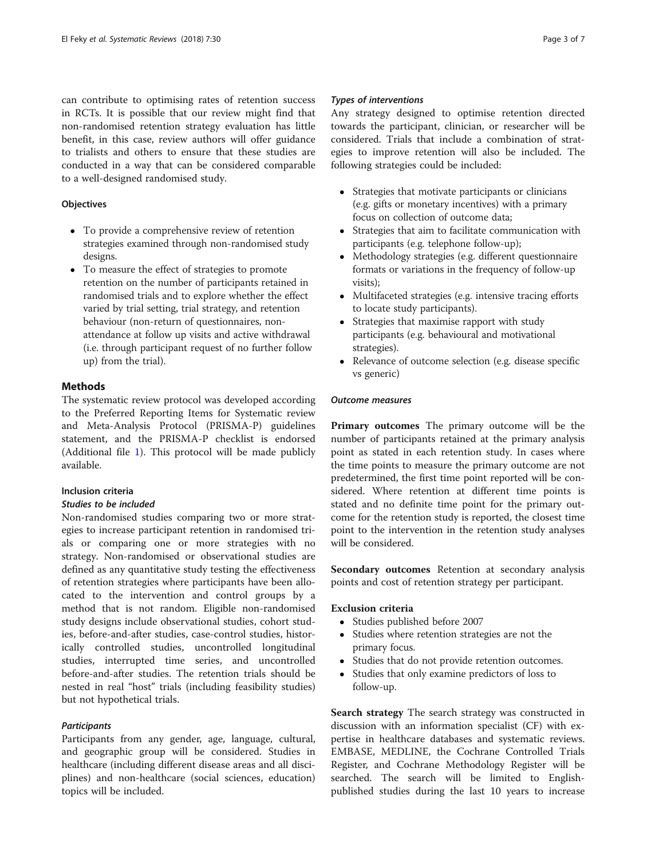can contribute to optimising rates of retention success in RCTs. It is possible that our review might find that non-randomised retention strategy evaluation has little benefit, in this case, review authors will offer guidance to trialists and others to ensure that these studies are conducted in a way that can be considered comparable to a well-designed randomised study.

## **Objectives**

- To provide a comprehensive review of retention strategies examined through non-randomised study designs.
- To measure the effect of strategies to promote retention on the number of participants retained in randomised trials and to explore whether the effect varied by trial setting, trial strategy, and retention behaviour (non-return of questionnaires, nonattendance at follow up visits and active withdrawal (i.e. through participant request of no further follow up) from the trial).

## Methods

The systematic review protocol was developed according to the Preferred Reporting Items for Systematic review and Meta-Analysis Protocol (PRISMA-P) guidelines statement, and the PRISMA-P checklist is endorsed (Additional file [1\)](#page-5-0). This protocol will be made publicly available.

## Inclusion criteria

## Studies to be included

Non-randomised studies comparing two or more strategies to increase participant retention in randomised trials or comparing one or more strategies with no strategy. Non-randomised or observational studies are defined as any quantitative study testing the effectiveness of retention strategies where participants have been allocated to the intervention and control groups by a method that is not random. Eligible non-randomised study designs include observational studies, cohort studies, before-and-after studies, case-control studies, historically controlled studies, uncontrolled longitudinal studies, interrupted time series, and uncontrolled before-and-after studies. The retention trials should be nested in real "host" trials (including feasibility studies) but not hypothetical trials.

## **Participants**

Participants from any gender, age, language, cultural, and geographic group will be considered. Studies in healthcare (including different disease areas and all disciplines) and non-healthcare (social sciences, education) topics will be included.

## Types of interventions

Any strategy designed to optimise retention directed towards the participant, clinician, or researcher will be considered. Trials that include a combination of strategies to improve retention will also be included. The following strategies could be included:

- Strategies that motivate participants or clinicians (e.g. gifts or monetary incentives) with a primary focus on collection of outcome data;
- Strategies that aim to facilitate communication with participants (e.g. telephone follow-up);
- Methodology strategies (e.g. different questionnaire formats or variations in the frequency of follow-up visits);
- Multifaceted strategies (e.g. intensive tracing efforts to locate study participants).
- Strategies that maximise rapport with study participants (e.g. behavioural and motivational strategies).
- Relevance of outcome selection (e.g. disease specific vs generic)

#### Outcome measures

Primary outcomes The primary outcome will be the number of participants retained at the primary analysis point as stated in each retention study. In cases where the time points to measure the primary outcome are not predetermined, the first time point reported will be considered. Where retention at different time points is stated and no definite time point for the primary outcome for the retention study is reported, the closest time point to the intervention in the retention study analyses will be considered.

Secondary outcomes Retention at secondary analysis points and cost of retention strategy per participant.

## Exclusion criteria

- Studies published before 2007
- Studies where retention strategies are not the primary focus.
- Studies that do not provide retention outcomes.
- Studies that only examine predictors of loss to follow-up.

Search strategy The search strategy was constructed in discussion with an information specialist (CF) with expertise in healthcare databases and systematic reviews. EMBASE, MEDLINE, the Cochrane Controlled Trials Register, and Cochrane Methodology Register will be searched. The search will be limited to Englishpublished studies during the last 10 years to increase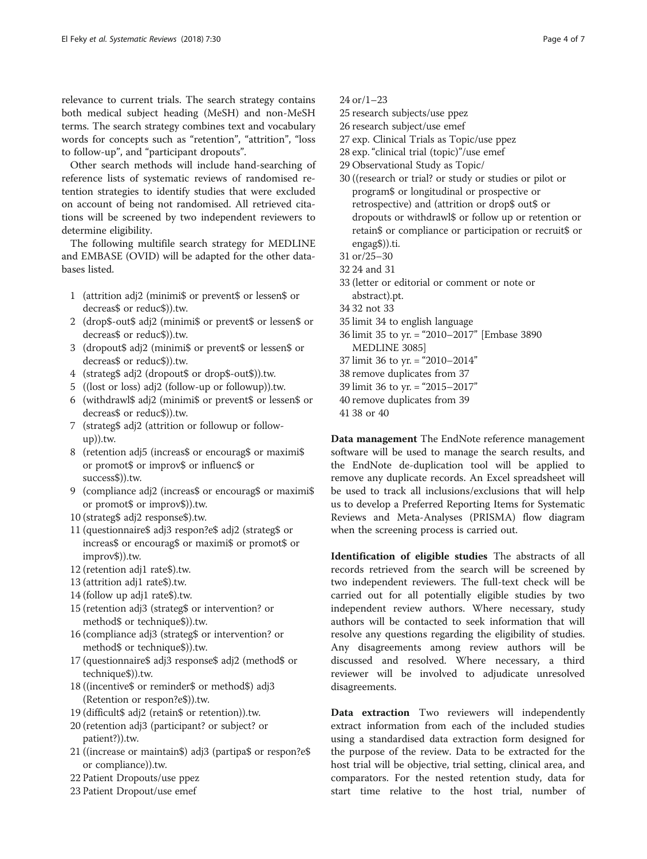relevance to current trials. The search strategy contains both medical subject heading (MeSH) and non-MeSH terms. The search strategy combines text and vocabulary words for concepts such as "retention", "attrition", "loss to follow-up", and "participant dropouts".

Other search methods will include hand-searching of reference lists of systematic reviews of randomised retention strategies to identify studies that were excluded on account of being not randomised. All retrieved citations will be screened by two independent reviewers to determine eligibility.

The following multifile search strategy for MEDLINE and EMBASE (OVID) will be adapted for the other databases listed.

- 1 (attrition adj2 (minimi\$ or prevent\$ or lessen\$ or decreas\$ or reduc\$)).tw.
- 2 (drop\$-out\$ adj2 (minimi\$ or prevent\$ or lessen\$ or decreas\$ or reduc\$)).tw.
- 3 (dropout\$ adj2 (minimi\$ or prevent\$ or lessen\$ or decreas\$ or reduc\$)).tw.
- 4 (strateg\$ adj2 (dropout\$ or drop\$-out\$)).tw.
- 5 ((lost or loss) adj2 (follow-up or followup)).tw.
- 6 (withdrawl\$ adj2 (minimi\$ or prevent\$ or lessen\$ or decreas\$ or reduc\$)).tw.
- 7 (strateg\$ adj2 (attrition or followup or followup)).tw.
- 8 (retention adj5 (increas\$ or encourag\$ or maximi\$ or promot\$ or improv\$ or influenc\$ or success\$)).tw.
- 9 (compliance adj2 (increas\$ or encourag\$ or maximi\$ or promot\$ or improv\$)).tw.
- 10 (strateg\$ adj2 response\$).tw.
- 11 (questionnaire\$ adj3 respon?e\$ adj2 (strateg\$ or increas\$ or encourag\$ or maximi\$ or promot\$ or improv\$)).tw.
- 12 (retention adj1 rate\$).tw.
- 13 (attrition adj1 rate\$).tw.
- 14 (follow up adj1 rate\$).tw.
- 15 (retention adj3 (strateg\$ or intervention? or method\$ or technique\$)).tw.
- 16 (compliance adj3 (strateg\$ or intervention? or method\$ or technique\$)).tw.
- 17 (questionnaire\$ adj3 response\$ adj2 (method\$ or technique\$)).tw.
- 18 ((incentive\$ or reminder\$ or method\$) adj3 (Retention or respon?e\$)).tw.
- 19 (difficult\$ adj2 (retain\$ or retention)).tw.
- 20 (retention adj3 (participant? or subject? or patient?)).tw.
- 21 ((increase or maintain\$) adj3 (partipa\$ or respon?e\$ or compliance)).tw.
- 22 Patient Dropouts/use ppez
- 23 Patient Dropout/use emef
- 24 or/1–23
- 25 research subjects/use ppez
- 26 research subject/use emef
- 27 exp. Clinical Trials as Topic/use ppez
- 28 exp."clinical trial (topic)"/use emef
- 29 Observational Study as Topic/
- 30 ((research or trial? or study or studies or pilot or program\$ or longitudinal or prospective or retrospective) and (attrition or drop\$ out\$ or dropouts or withdrawl\$ or follow up or retention or retain\$ or compliance or participation or recruit\$ or engag\$)).ti.
- 31 or/25–30
- 32 24 and 31
- 33 (letter or editorial or comment or note or abstract).pt.
- 34 32 not 33
- 35 limit 34 to english language
- 36 limit 35 to yr. = "2010–2017" [Embase 3890 MEDLINE 3085]
- 37 limit 36 to yr. = "2010–2014"
- 38 remove duplicates from 37
- 39 limit 36 to yr. = "2015–2017"
- 40 remove duplicates from 39
- 41 38 or 40

Data management The EndNote reference management software will be used to manage the search results, and the EndNote de-duplication tool will be applied to remove any duplicate records. An Excel spreadsheet will be used to track all inclusions/exclusions that will help us to develop a Preferred Reporting Items for Systematic Reviews and Meta-Analyses (PRISMA) flow diagram when the screening process is carried out.

Identification of eligible studies The abstracts of all records retrieved from the search will be screened by two independent reviewers. The full-text check will be carried out for all potentially eligible studies by two independent review authors. Where necessary, study authors will be contacted to seek information that will resolve any questions regarding the eligibility of studies. Any disagreements among review authors will be discussed and resolved. Where necessary, a third reviewer will be involved to adjudicate unresolved disagreements.

Data extraction Two reviewers will independently extract information from each of the included studies using a standardised data extraction form designed for the purpose of the review. Data to be extracted for the host trial will be objective, trial setting, clinical area, and comparators. For the nested retention study, data for start time relative to the host trial, number of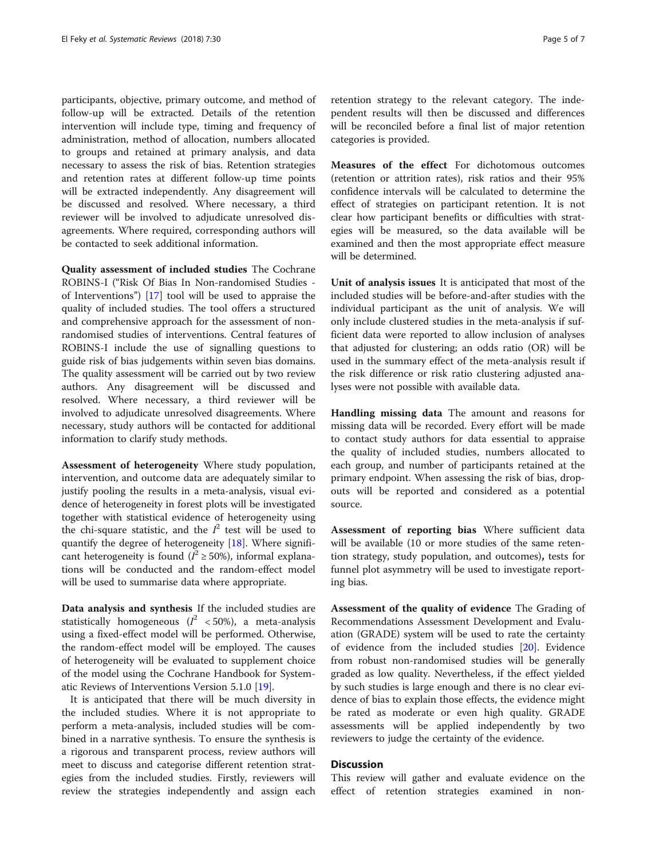participants, objective, primary outcome, and method of follow-up will be extracted. Details of the retention intervention will include type, timing and frequency of administration, method of allocation, numbers allocated to groups and retained at primary analysis, and data necessary to assess the risk of bias. Retention strategies and retention rates at different follow-up time points will be extracted independently. Any disagreement will be discussed and resolved. Where necessary, a third reviewer will be involved to adjudicate unresolved disagreements. Where required, corresponding authors will be contacted to seek additional information.

Quality assessment of included studies The Cochrane ROBINS-I ("Risk Of Bias In Non-randomised Studies of Interventions") [[17\]](#page-6-0) tool will be used to appraise the quality of included studies. The tool offers a structured and comprehensive approach for the assessment of nonrandomised studies of interventions. Central features of ROBINS-I include the use of signalling questions to guide risk of bias judgements within seven bias domains. The quality assessment will be carried out by two review authors. Any disagreement will be discussed and resolved. Where necessary, a third reviewer will be involved to adjudicate unresolved disagreements. Where necessary, study authors will be contacted for additional information to clarify study methods.

Assessment of heterogeneity Where study population, intervention, and outcome data are adequately similar to justify pooling the results in a meta-analysis, visual evidence of heterogeneity in forest plots will be investigated together with statistical evidence of heterogeneity using the chi-square statistic, and the  $I^2$  test will be used to quantify the degree of heterogeneity [[18\]](#page-6-0). Where significant heterogeneity is found ( $I^2 \ge 50\%$ ), informal explanations will be conducted and the random-effect model will be used to summarise data where appropriate.

Data analysis and synthesis If the included studies are statistically homogeneous ( $l^2$  <50%), a meta-analysis using a fixed-effect model will be performed. Otherwise, the random-effect model will be employed. The causes of heterogeneity will be evaluated to supplement choice of the model using the Cochrane Handbook for Systematic Reviews of Interventions Version 5.1.0 [[19](#page-6-0)].

It is anticipated that there will be much diversity in the included studies. Where it is not appropriate to perform a meta-analysis, included studies will be combined in a narrative synthesis. To ensure the synthesis is a rigorous and transparent process, review authors will meet to discuss and categorise different retention strategies from the included studies. Firstly, reviewers will review the strategies independently and assign each

retention strategy to the relevant category. The independent results will then be discussed and differences will be reconciled before a final list of major retention categories is provided.

Measures of the effect For dichotomous outcomes (retention or attrition rates), risk ratios and their 95% confidence intervals will be calculated to determine the effect of strategies on participant retention. It is not clear how participant benefits or difficulties with strategies will be measured, so the data available will be examined and then the most appropriate effect measure will be determined.

Unit of analysis issues It is anticipated that most of the included studies will be before-and-after studies with the individual participant as the unit of analysis. We will only include clustered studies in the meta-analysis if sufficient data were reported to allow inclusion of analyses that adjusted for clustering; an odds ratio (OR) will be used in the summary effect of the meta-analysis result if the risk difference or risk ratio clustering adjusted analyses were not possible with available data.

Handling missing data The amount and reasons for missing data will be recorded. Every effort will be made to contact study authors for data essential to appraise the quality of included studies, numbers allocated to each group, and number of participants retained at the primary endpoint. When assessing the risk of bias, dropouts will be reported and considered as a potential source.

Assessment of reporting bias Where sufficient data will be available (10 or more studies of the same retention strategy, study population, and outcomes), tests for funnel plot asymmetry will be used to investigate reporting bias.

Assessment of the quality of evidence The Grading of Recommendations Assessment Development and Evaluation (GRADE) system will be used to rate the certainty of evidence from the included studies [[20](#page-6-0)]. Evidence from robust non-randomised studies will be generally graded as low quality. Nevertheless, if the effect yielded by such studies is large enough and there is no clear evidence of bias to explain those effects, the evidence might be rated as moderate or even high quality. GRADE assessments will be applied independently by two reviewers to judge the certainty of the evidence.

## **Discussion**

This review will gather and evaluate evidence on the effect of retention strategies examined in non-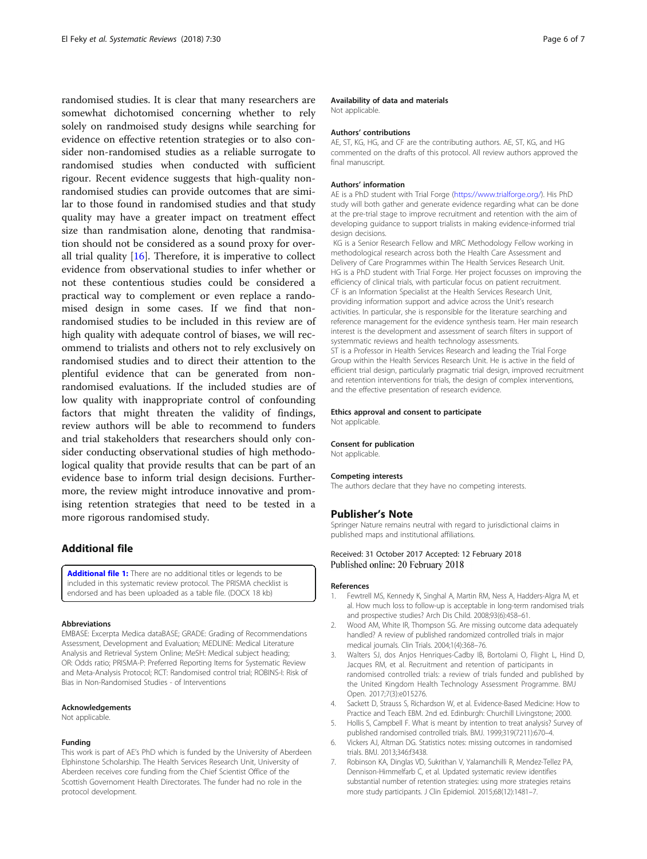<span id="page-5-0"></span>randomised studies. It is clear that many researchers are somewhat dichotomised concerning whether to rely solely on randmoised study designs while searching for evidence on effective retention strategies or to also consider non-randomised studies as a reliable surrogate to randomised studies when conducted with sufficient rigour. Recent evidence suggests that high-quality nonrandomised studies can provide outcomes that are similar to those found in randomised studies and that study quality may have a greater impact on treatment effect size than randmisation alone, denoting that randmisation should not be considered as a sound proxy for overall trial quality [\[16](#page-6-0)]. Therefore, it is imperative to collect evidence from observational studies to infer whether or not these contentious studies could be considered a practical way to complement or even replace a randomised design in some cases. If we find that nonrandomised studies to be included in this review are of high quality with adequate control of biases, we will recommend to trialists and others not to rely exclusively on randomised studies and to direct their attention to the plentiful evidence that can be generated from nonrandomised evaluations. If the included studies are of low quality with inappropriate control of confounding factors that might threaten the validity of findings, review authors will be able to recommend to funders and trial stakeholders that researchers should only consider conducting observational studies of high methodological quality that provide results that can be part of an evidence base to inform trial design decisions. Furthermore, the review might introduce innovative and promising retention strategies that need to be tested in a more rigorous randomised study.

## Additional file

[Additional file 1:](https://doi.org/10.1186/s13643-018-0696-7) There are no additional titles or legends to be included in this systematic review protocol. The PRISMA checklist is endorsed and has been uploaded as a table file. (DOCX 18 kb)

#### Abbreviations

EMBASE: Excerpta Medica dataBASE; GRADE: Grading of Recommendations Assessment, Development and Evaluation; MEDLINE: Medical Literature Analysis and Retrieval System Online; MeSH: Medical subject heading; OR: Odds ratio; PRISMA-P: Preferred Reporting Items for Systematic Review and Meta-Analysis Protocol; RCT: Randomised control trial; ROBINS-I: Risk of Bias in Non-Randomised Studies - of Interventions

#### Acknowledgements

Not applicable.

#### Funding

This work is part of AE's PhD which is funded by the University of Aberdeen Elphinstone Scholarship. The Health Services Research Unit, University of Aberdeen receives core funding from the Chief Scientist Office of the Scottish Governoment Health Directorates. The funder had no role in the protocol development.

#### Availability of data and materials

Not applicable.

#### Authors' contributions

AE, ST, KG, HG, and CF are the contributing authors. AE, ST, KG, and HG commented on the drafts of this protocol. All review authors approved the final manuscript.

#### Authors' information

AE is a PhD student with Trial Forge [\(https://www.trialforge.org/](https://www.trialforge.org/)). His PhD study will both gather and generate evidence regarding what can be done at the pre-trial stage to improve recruitment and retention with the aim of developing guidance to support trialists in making evidence-informed trial design decisions.

KG is a Senior Research Fellow and MRC Methodology Fellow working in methodological research across both the Health Care Assessment and Delivery of Care Programmes within The Health Services Research Unit. HG is a PhD student with Trial Forge. Her project focusses on improving the efficiency of clinical trials, with particular focus on patient recruitment. CF is an Information Specialist at the Health Services Research Unit, providing information support and advice across the Unit's research activities. In particular, she is responsible for the literature searching and reference management for the evidence synthesis team. Her main research interest is the development and assessment of search filters in support of systemmatic reviews and health technology assessments. ST is a Professor in Health Services Research and leading the Trial Forge Group within the Health Services Research Unit. He is active in the field of efficient trial design, particularly pragmatic trial design, improved recruitment and retention interventions for trials, the design of complex interventions, and the effective presentation of research evidence.

#### Ethics approval and consent to participate Not applicable.

## Consent for publication

Not applicable.

#### Competing interests

The authors declare that they have no competing interests.

#### Publisher's Note

Springer Nature remains neutral with regard to jurisdictional claims in published maps and institutional affiliations.

#### Received: 31 October 2017 Accepted: 12 February 2018 Published online: 20 February 2018

#### References

- 1. Fewtrell MS, Kennedy K, Singhal A, Martin RM, Ness A, Hadders-Algra M, et al. How much loss to follow-up is acceptable in long-term randomised trials and prospective studies? Arch Dis Child. 2008;93(6):458–61.
- 2. Wood AM, White IR, Thompson SG. Are missing outcome data adequately handled? A review of published randomized controlled trials in major medical journals. Clin Trials. 2004;1(4):368–76.
- 3. Walters SJ, dos Anjos Henriques-Cadby IB, Bortolami O, Flight L, Hind D, Jacques RM, et al. Recruitment and retention of participants in randomised controlled trials: a review of trials funded and published by the United Kingdom Health Technology Assessment Programme. BMJ Open. 2017;7(3):e015276.
- Sackett D, Strauss S, Richardson W, et al. Evidence-Based Medicine: How to Practice and Teach EBM. 2nd ed. Edinburgh: Churchill Livingstone; 2000.
- 5. Hollis S, Campbell F. What is meant by intention to treat analysis? Survey of published randomised controlled trials. BMJ. 1999;319(7211):670–4.
- 6. Vickers AJ, Altman DG. Statistics notes: missing outcomes in randomised trials. BMJ. 2013;346:f3438.
- 7. Robinson KA, Dinglas VD, Sukrithan V, Yalamanchilli R, Mendez-Tellez PA, Dennison-Himmelfarb C, et al. Updated systematic review identifies substantial number of retention strategies: using more strategies retains more study participants. J Clin Epidemiol. 2015;68(12):1481–7.